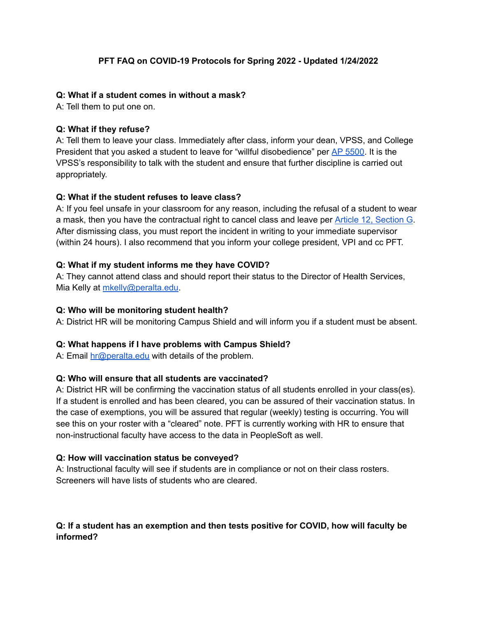#### **PFT FAQ on COVID-19 Protocols for Spring 2022 - Updated 1/24/2022**

#### **Q: What if a student comes in without a mask?**

A: Tell them to put one on.

#### **Q: What if they refuse?**

A: Tell them to leave your class. Immediately after class, inform your dean, VPSS, and College President that you asked a student to leave for "willful disobedience" per AP [5500.](https://web.peralta.edu/trustees/files/2013/12/AP-5500-Student-Standards-of-Conduct-Discipline-Procedures-and-Due-Process.pdf) It is the VPSS's responsibility to talk with the student and ensure that further discipline is carried out appropriately.

#### **Q: What if the student refuses to leave class?**

A: If you feel unsafe in your classroom for any reason, including the refusal of a student to wear a mask, then you have the contractual right to cancel class and leave per Article 12, [Section](https://pft1603.org/wp-content/uploads/2018/09/180912-Revised-CONTRACT-2016-2019-PDF.pdf) G. After dismissing class, you must report the incident in writing to your immediate supervisor (within 24 hours). I also recommend that you inform your college president, VPI and cc PFT.

#### **Q: What if my student informs me they have COVID?**

A: They cannot attend class and should report their status to the Director of Health Services, Mia Kelly at [mkelly@peralta.edu](mailto:mkelly@peralta.edu).

#### **Q: Who will be monitoring student health?**

A: District HR will be monitoring Campus Shield and will inform you if a student must be absent.

## **Q: What happens if I have problems with Campus Shield?**

A: Email [hr@peralta.edu](mailto:hr@peralta.edu) with details of the problem.

#### **Q: Who will ensure that all students are vaccinated?**

A: District HR will be confirming the vaccination status of all students enrolled in your class(es). If a student is enrolled and has been cleared, you can be assured of their vaccination status. In the case of exemptions, you will be assured that regular (weekly) testing is occurring. You will see this on your roster with a "cleared" note. PFT is currently working with HR to ensure that non-instructional faculty have access to the data in PeopleSoft as well.

#### **Q: How will vaccination status be conveyed?**

A: Instructional faculty will see if students are in compliance or not on their class rosters. Screeners will have lists of students who are cleared.

## **Q: If a student has an exemption and then tests positive for COVID, how will faculty be informed?**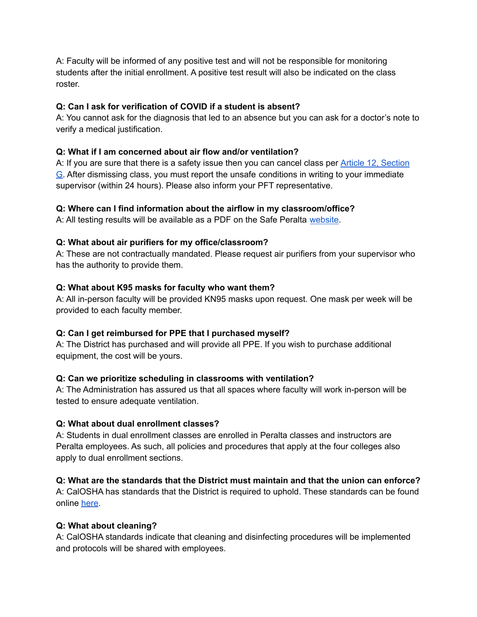A: Faculty will be informed of any positive test and will not be responsible for monitoring students after the initial enrollment. A positive test result will also be indicated on the class roster.

# **Q: Can I ask for verification of COVID if a student is absent?**

A: You cannot ask for the diagnosis that led to an absence but you can ask for a doctor's note to verify a medical justification.

# **Q: What if I am concerned about air flow and/or ventilation?**

A: If you are sure that there is a safety issue then you can cancel class per **Article 12**, [Section](https://pft1603.org/wp-content/uploads/2018/09/180912-Revised-CONTRACT-2016-2019-PDF.pdf) [G.](https://pft1603.org/wp-content/uploads/2018/09/180912-Revised-CONTRACT-2016-2019-PDF.pdf) After dismissing class, you must report the unsafe conditions in writing to your immediate supervisor (within 24 hours). Please also inform your PFT representative.

# **Q: Where can I find information about the airflow in my classroom/office?**

A: All testing results will be available as a PDF on the Safe Peralta [website.](https://safe.peralta.edu)

# **Q: What about air purifiers for my office/classroom?**

A: These are not contractually mandated. Please request air purifiers from your supervisor who has the authority to provide them.

# **Q: What about K95 masks for faculty who want them?**

A: All in-person faculty will be provided KN95 masks upon request. One mask per week will be provided to each faculty member.

## **Q: Can I get reimbursed for PPE that I purchased myself?**

A: The District has purchased and will provide all PPE. If you wish to purchase additional equipment, the cost will be yours.

# **Q: Can we prioritize scheduling in classrooms with ventilation?**

A: The Administration has assured us that all spaces where faculty will work in-person will be tested to ensure adequate ventilation.

## **Q: What about dual enrollment classes?**

A: Students in dual enrollment classes are enrolled in Peralta classes and instructors are Peralta employees. As such, all policies and procedures that apply at the four colleges also apply to dual enrollment sections.

# **Q: What are the standards that the District must maintain and that the union can enforce?**

A: CalOSHA has standards that the District is required to uphold. These standards can be found online [here](https://www.dir.ca.gov/dosh/coronavirus/ETS.html).

## **Q: What about cleaning?**

A: CalOSHA standards indicate that cleaning and disinfecting procedures will be implemented and protocols will be shared with employees.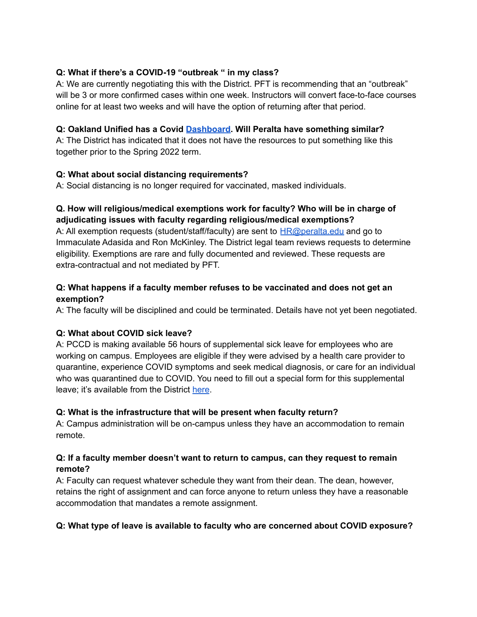# **Q: What if there's a COVID-19 "outbreak " in my class?**

A: We are currently negotiating this with the District. PFT is recommending that an "outbreak" will be 3 or more confirmed cases within one week. Instructors will convert face-to-face courses online for at least two weeks and will have the option of returning after that period.

# **Q: Oakland Unified has a Covid [Dashboard](https://dashboards.ousd.org/views/COVIDCaseDashboard/Summary?:embed=y). Will Peralta have something similar?**

A: The District has indicated that it does not have the resources to put something like this together prior to the Spring 2022 term.

# **Q: What about social distancing requirements?**

A: Social distancing is no longer required for vaccinated, masked individuals.

# **Q. How will religious/medical exemptions work for faculty? Who will be in charge of adjudicating issues with faculty regarding religious/medical exemptions?**

A: All exemption requests (student/staff/faculty) are sent to  $HR@peralta.edu$  and go to Immaculate Adasida and Ron McKinley. The District legal team reviews requests to determine eligibility. Exemptions are rare and fully documented and reviewed. These requests are extra-contractual and not mediated by PFT.

# **Q: What happens if a faculty member refuses to be vaccinated and does not get an exemption?**

A: The faculty will be disciplined and could be terminated. Details have not yet been negotiated.

# **Q: What about COVID sick leave?**

A: PCCD is making available 56 hours of supplemental sick leave for employees who are working on campus. Employees are eligible if they were advised by a health care provider to quarantine, experience COVID symptoms and seek medical diagnosis, or care for an individual who was quarantined due to COVID. You need to fill out a special form for this supplemental leave; it's available from the District [here](https://fs.hubspotusercontent00.net/hubfs/6398505/2022_Families-First-Document-COVID-19-sick-leave-reporting.pdf).

## **Q: What is the infrastructure that will be present when faculty return?**

A: Campus administration will be on-campus unless they have an accommodation to remain remote.

# **Q: If a faculty member doesn't want to return to campus, can they request to remain remote?**

A: Faculty can request whatever schedule they want from their dean. The dean, however, retains the right of assignment and can force anyone to return unless they have a reasonable accommodation that mandates a remote assignment.

## **Q: What type of leave is available to faculty who are concerned about COVID exposure?**